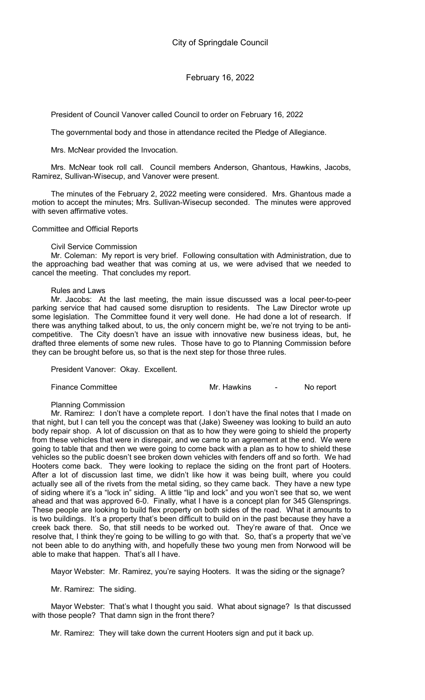President of Council Vanover called Council to order on February 16, 2022

The governmental body and those in attendance recited the Pledge of Allegiance.

Mrs. McNear provided the Invocation.

Mrs. McNear took roll call. Council members Anderson, Ghantous, Hawkins, Jacobs, Ramirez, Sullivan-Wisecup, and Vanover were present.

The minutes of the February 2, 2022 meeting were considered. Mrs. Ghantous made a motion to accept the minutes; Mrs. Sullivan-Wisecup seconded. The minutes were approved with seven affirmative votes.

Committee and Official Reports

#### Civil Service Commission

Mr. Coleman: My report is very brief. Following consultation with Administration, due to the approaching bad weather that was coming at us, we were advised that we needed to cancel the meeting. That concludes my report.

#### Rules and Laws

Mr. Jacobs: At the last meeting, the main issue discussed was a local peer-to-peer parking service that had caused some disruption to residents. The Law Director wrote up some legislation. The Committee found it very well done. He had done a lot of research. If there was anything talked about, to us, the only concern might be, we're not trying to be anticompetitive. The City doesn't have an issue with innovative new business ideas, but, he drafted three elements of some new rules. Those have to go to Planning Commission before they can be brought before us, so that is the next step for those three rules.

President Vanover: Okay. Excellent.

Finance Committee **Mr. Hawkins** Finance Committee **Mr.** Hawkins Assembly Mr. Hawkins

#### Planning Commission

Mr. Ramirez: I don't have a complete report. I don't have the final notes that I made on that night, but I can tell you the concept was that (Jake) Sweeney was looking to build an auto body repair shop. A lot of discussion on that as to how they were going to shield the property from these vehicles that were in disrepair, and we came to an agreement at the end. We were going to table that and then we were going to come back with a plan as to how to shield these vehicles so the public doesn't see broken down vehicles with fenders off and so forth. We had Hooters come back. They were looking to replace the siding on the front part of Hooters. After a lot of discussion last time, we didn't like how it was being built, where you could actually see all of the rivets from the metal siding, so they came back. They have a new type of siding where it's a "lock in" siding. A little "lip and lock" and you won't see that so, we went ahead and that was approved 6-0. Finally, what I have is a concept plan for 345 Glensprings. These people are looking to build flex property on both sides of the road. What it amounts to is two buildings. It's a property that's been difficult to build on in the past because they have a creek back there. So, that still needs to be worked out. They're aware of that. Once we resolve that, I think they're going to be willing to go with that. So, that's a property that we've not been able to do anything with, and hopefully these two young men from Norwood will be able to make that happen. That's all I have.

Mayor Webster: Mr. Ramirez, you're saying Hooters. It was the siding or the signage?

Mr. Ramirez: The siding.

Mayor Webster: That's what I thought you said. What about signage? Is that discussed with those people? That damn sign in the front there?

Mr. Ramirez: They will take down the current Hooters sign and put it back up.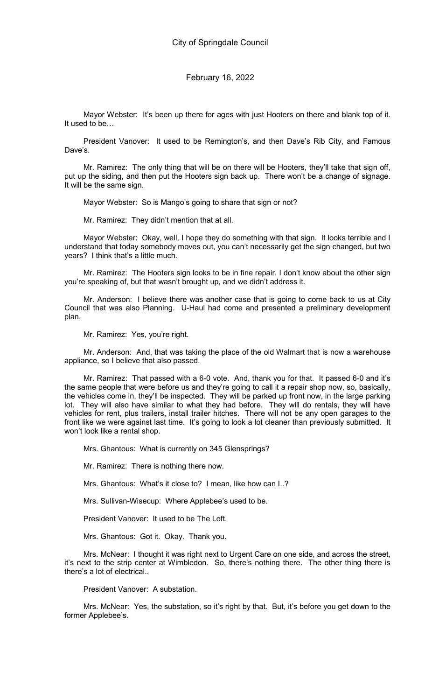Mayor Webster: It's been up there for ages with just Hooters on there and blank top of it. It used to be…

President Vanover: It used to be Remington's, and then Dave's Rib City, and Famous Dave's.

Mr. Ramirez: The only thing that will be on there will be Hooters, they'll take that sign off, put up the siding, and then put the Hooters sign back up. There won't be a change of signage. It will be the same sign.

Mayor Webster: So is Mango's going to share that sign or not?

Mr. Ramirez: They didn't mention that at all.

Mayor Webster: Okay, well, I hope they do something with that sign. It looks terrible and I understand that today somebody moves out, you can't necessarily get the sign changed, but two years? I think that's a little much.

Mr. Ramirez: The Hooters sign looks to be in fine repair, I don't know about the other sign you're speaking of, but that wasn't brought up, and we didn't address it.

Mr. Anderson: I believe there was another case that is going to come back to us at City Council that was also Planning. U-Haul had come and presented a preliminary development plan.

Mr. Ramirez: Yes, you're right.

Mr. Anderson: And, that was taking the place of the old Walmart that is now a warehouse appliance, so I believe that also passed.

Mr. Ramirez: That passed with a 6-0 vote. And, thank you for that. It passed 6-0 and it's the same people that were before us and they're going to call it a repair shop now, so, basically, the vehicles come in, they'll be inspected. They will be parked up front now, in the large parking lot. They will also have similar to what they had before. They will do rentals, they will have vehicles for rent, plus trailers, install trailer hitches. There will not be any open garages to the front like we were against last time. It's going to look a lot cleaner than previously submitted. It won't look like a rental shop.

Mrs. Ghantous: What is currently on 345 Glensprings?

Mr. Ramirez: There is nothing there now.

Mrs. Ghantous: What's it close to? I mean, like how can I..?

Mrs. Sullivan-Wisecup: Where Applebee's used to be.

President Vanover: It used to be The Loft.

Mrs. Ghantous: Got it. Okay. Thank you.

Mrs. McNear: I thought it was right next to Urgent Care on one side, and across the street, it's next to the strip center at Wimbledon. So, there's nothing there. The other thing there is there's a lot of electrical..

President Vanover: A substation.

Mrs. McNear: Yes, the substation, so it's right by that. But, it's before you get down to the former Applebee's.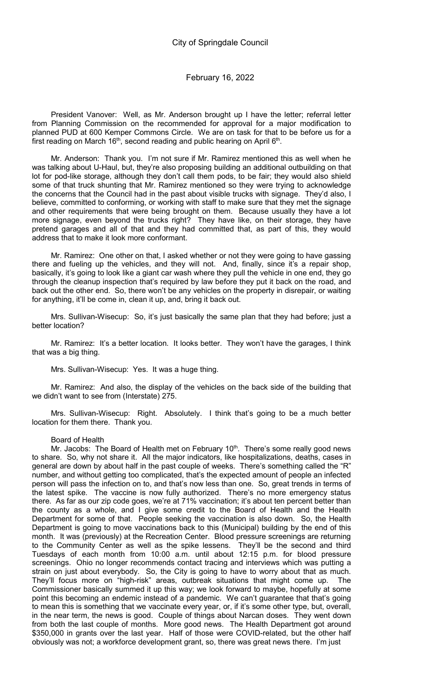President Vanover: Well, as Mr. Anderson brought up I have the letter; referral letter from Planning Commission on the recommended for approval for a major modification to planned PUD at 600 Kemper Commons Circle. We are on task for that to be before us for a first reading on March 16<sup>th</sup>, second reading and public hearing on April 6<sup>th</sup>.

Mr. Anderson: Thank you. I'm not sure if Mr. Ramirez mentioned this as well when he was talking about U-Haul, but, they're also proposing building an additional outbuilding on that lot for pod-like storage, although they don't call them pods, to be fair; they would also shield some of that truck shunting that Mr. Ramirez mentioned so they were trying to acknowledge the concerns that the Council had in the past about visible trucks with signage. They'd also, I believe, committed to conforming, or working with staff to make sure that they met the signage and other requirements that were being brought on them. Because usually they have a lot more signage, even beyond the trucks right? They have like, on their storage, they have pretend garages and all of that and they had committed that, as part of this, they would address that to make it look more conformant.

Mr. Ramirez: One other on that, I asked whether or not they were going to have gassing there and fueling up the vehicles, and they will not. And, finally, since it's a repair shop, basically, it's going to look like a giant car wash where they pull the vehicle in one end, they go through the cleanup inspection that's required by law before they put it back on the road, and back out the other end. So, there won't be any vehicles on the property in disrepair, or waiting for anything, it'll be come in, clean it up, and, bring it back out.

Mrs. Sullivan-Wisecup: So, it's just basically the same plan that they had before; just a better location?

Mr. Ramirez: It's a better location. It looks better. They won't have the garages, I think that was a big thing.

Mrs. Sullivan-Wisecup: Yes. It was a huge thing.

Mr. Ramirez: And also, the display of the vehicles on the back side of the building that we didn't want to see from (Interstate) 275.

Mrs. Sullivan-Wisecup: Right. Absolutely. I think that's going to be a much better location for them there. Thank you.

### Board of Health

Mr. Jacobs: The Board of Health met on February 10<sup>th</sup>. There's some really good news to share. So, why not share it. All the major indicators, like hospitalizations, deaths, cases in general are down by about half in the past couple of weeks. There's something called the "R" number, and without getting too complicated, that's the expected amount of people an infected person will pass the infection on to, and that's now less than one. So, great trends in terms of the latest spike. The vaccine is now fully authorized. There's no more emergency status there. As far as our zip code goes, we're at 71% vaccination; it's about ten percent better than the county as a whole, and I give some credit to the Board of Health and the Health Department for some of that. People seeking the vaccination is also down. So, the Health Department is going to move vaccinations back to this (Municipal) building by the end of this month. It was (previously) at the Recreation Center. Blood pressure screenings are returning to the Community Center as well as the spike lessens. They'll be the second and third Tuesdays of each month from 10:00 a.m. until about 12:15 p.m. for blood pressure screenings. Ohio no longer recommends contact tracing and interviews which was putting a strain on just about everybody. So, the City is going to have to worry about that as much. They'll focus more on "high-risk" areas, outbreak situations that might come up. The Commissioner basically summed it up this way; we look forward to maybe, hopefully at some point this becoming an endemic instead of a pandemic. We can't guarantee that that's going to mean this is something that we vaccinate every year, or, if it's some other type, but, overall, in the near term, the news is good. Couple of things about Narcan doses. They went down from both the last couple of months. More good news. The Health Department got around \$350,000 in grants over the last year. Half of those were COVID-related, but the other half obviously was not; a workforce development grant, so, there was great news there. I'm just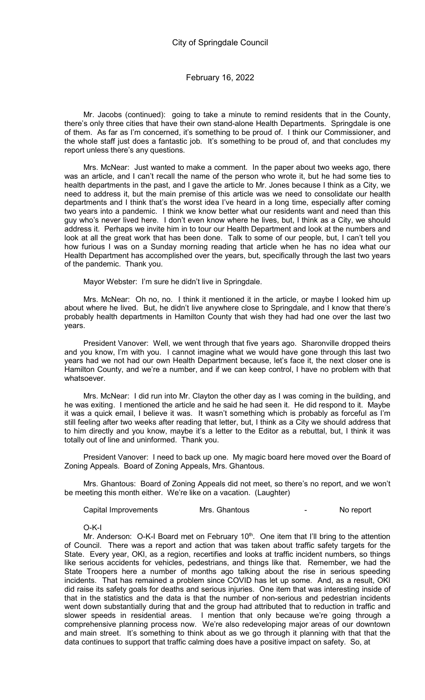Mr. Jacobs (continued): going to take a minute to remind residents that in the County, there's only three cities that have their own stand-alone Health Departments. Springdale is one of them. As far as I'm concerned, it's something to be proud of. I think our Commissioner, and the whole staff just does a fantastic job. It's something to be proud of, and that concludes my report unless there's any questions.

Mrs. McNear: Just wanted to make a comment. In the paper about two weeks ago, there was an article, and I can't recall the name of the person who wrote it, but he had some ties to health departments in the past, and I gave the article to Mr. Jones because I think as a City, we need to address it, but the main premise of this article was we need to consolidate our health departments and I think that's the worst idea I've heard in a long time, especially after coming two years into a pandemic. I think we know better what our residents want and need than this guy who's never lived here. I don't even know where he lives, but, I think as a City, we should address it. Perhaps we invite him in to tour our Health Department and look at the numbers and look at all the great work that has been done. Talk to some of our people, but, I can't tell you how furious I was on a Sunday morning reading that article when he has no idea what our Health Department has accomplished over the years, but, specifically through the last two years of the pandemic. Thank you.

Mayor Webster: I'm sure he didn't live in Springdale.

Mrs. McNear: Oh no, no. I think it mentioned it in the article, or maybe I looked him up about where he lived. But, he didn't live anywhere close to Springdale, and I know that there's probably health departments in Hamilton County that wish they had had one over the last two years.

President Vanover: Well, we went through that five years ago. Sharonville dropped theirs and you know, I'm with you. I cannot imagine what we would have gone through this last two years had we not had our own Health Department because, let's face it, the next closer one is Hamilton County, and we're a number, and if we can keep control, I have no problem with that whatsoever.

Mrs. McNear: I did run into Mr. Clayton the other day as I was coming in the building, and he was exiting. I mentioned the article and he said he had seen it. He did respond to it. Maybe it was a quick email, I believe it was. It wasn't something which is probably as forceful as I'm still feeling after two weeks after reading that letter, but, I think as a City we should address that to him directly and you know, maybe it's a letter to the Editor as a rebuttal, but, I think it was totally out of line and uninformed. Thank you.

President Vanover: I need to back up one. My magic board here moved over the Board of Zoning Appeals. Board of Zoning Appeals, Mrs. Ghantous.

Mrs. Ghantous: Board of Zoning Appeals did not meet, so there's no report, and we won't be meeting this month either. We're like on a vacation. (Laughter)

Capital Improvements Mrs. Ghantous - No report

O-K-I

Mr. Anderson: O-K-I Board met on February  $10<sup>th</sup>$ . One item that I'll bring to the attention of Council. There was a report and action that was taken about traffic safety targets for the State. Every year, OKI, as a region, recertifies and looks at traffic incident numbers, so things like serious accidents for vehicles, pedestrians, and things like that. Remember, we had the State Troopers here a number of months ago talking about the rise in serious speeding incidents. That has remained a problem since COVID has let up some. And, as a result, OKI did raise its safety goals for deaths and serious injuries. One item that was interesting inside of that in the statistics and the data is that the number of non-serious and pedestrian incidents went down substantially during that and the group had attributed that to reduction in traffic and slower speeds in residential areas. I mention that only because we're going through a comprehensive planning process now. We're also redeveloping major areas of our downtown and main street. It's something to think about as we go through it planning with that that the data continues to support that traffic calming does have a positive impact on safety. So, at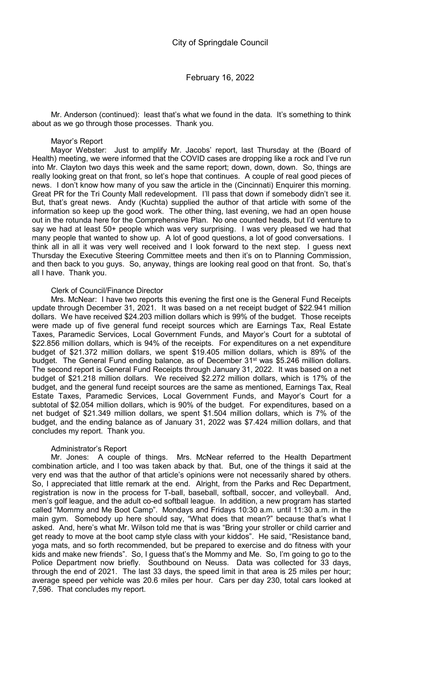Mr. Anderson (continued): least that's what we found in the data. It's something to think about as we go through those processes. Thank you.

Mayor's Report

Mayor Webster: Just to amplify Mr. Jacobs' report, last Thursday at the (Board of Health) meeting, we were informed that the COVID cases are dropping like a rock and I've run into Mr. Clayton two days this week and the same report; down, down, down. So, things are really looking great on that front, so let's hope that continues. A couple of real good pieces of news. I don't know how many of you saw the article in the (Cincinnati) Enquirer this morning. Great PR for the Tri County Mall redevelopment. I'll pass that down if somebody didn't see it. But, that's great news. Andy (Kuchta) supplied the author of that article with some of the information so keep up the good work. The other thing, last evening, we had an open house out in the rotunda here for the Comprehensive Plan. No one counted heads, but I'd venture to say we had at least 50+ people which was very surprising. I was very pleased we had that many people that wanted to show up. A lot of good questions, a lot of good conversations. I think all in all it was very well received and I look forward to the next step. I guess next Thursday the Executive Steering Committee meets and then it's on to Planning Commission, and then back to you guys. So, anyway, things are looking real good on that front. So, that's all I have. Thank you.

#### Clerk of Council/Finance Director

Mrs. McNear: I have two reports this evening the first one is the General Fund Receipts update through December 31, 2021. It was based on a net receipt budget of \$22.941 million dollars. We have received \$24.203 million dollars which is 99% of the budget. Those receipts were made up of five general fund receipt sources which are Earnings Tax, Real Estate Taxes, Paramedic Services, Local Government Funds, and Mayor's Court for a subtotal of \$22.856 million dollars, which is 94% of the receipts. For expenditures on a net expenditure budget of \$21.372 million dollars, we spent \$19.405 million dollars, which is 89% of the budget. The General Fund ending balance, as of December 31<sup>st</sup> was \$5.246 million dollars. The second report is General Fund Receipts through January 31, 2022. It was based on a net budget of \$21.218 million dollars. We received \$2.272 million dollars, which is 17% of the budget, and the general fund receipt sources are the same as mentioned, Earnings Tax, Real Estate Taxes, Paramedic Services, Local Government Funds, and Mayor's Court for a subtotal of \$2.054 million dollars, which is 90% of the budget. For expenditures, based on a net budget of \$21.349 million dollars, we spent \$1.504 million dollars, which is 7% of the budget, and the ending balance as of January 31, 2022 was \$7.424 million dollars, and that concludes my report. Thank you.

#### Administrator's Report

Mr. Jones: A couple of things. Mrs. McNear referred to the Health Department combination article, and I too was taken aback by that. But, one of the things it said at the very end was that the author of that article's opinions were not necessarily shared by others. So, I appreciated that little remark at the end. Alright, from the Parks and Rec Department, registration is now in the process for T-ball, baseball, softball, soccer, and volleyball. And, men's golf league, and the adult co-ed softball league. In addition, a new program has started called "Mommy and Me Boot Camp". Mondays and Fridays 10:30 a.m. until 11:30 a.m. in the main gym. Somebody up here should say, "What does that mean?" because that's what I asked. And, here's what Mr. Wilson told me that is was "Bring your stroller or child carrier and get ready to move at the boot camp style class with your kiddos". He said, "Resistance band, yoga mats, and so forth recommended, but be prepared to exercise and do fitness with your kids and make new friends". So, I guess that's the Mommy and Me. So, I'm going to go to the Police Department now briefly. Southbound on Neuss. Data was collected for 33 days, through the end of 2021. The last 33 days, the speed limit in that area is 25 miles per hour; average speed per vehicle was 20.6 miles per hour. Cars per day 230, total cars looked at 7,596. That concludes my report.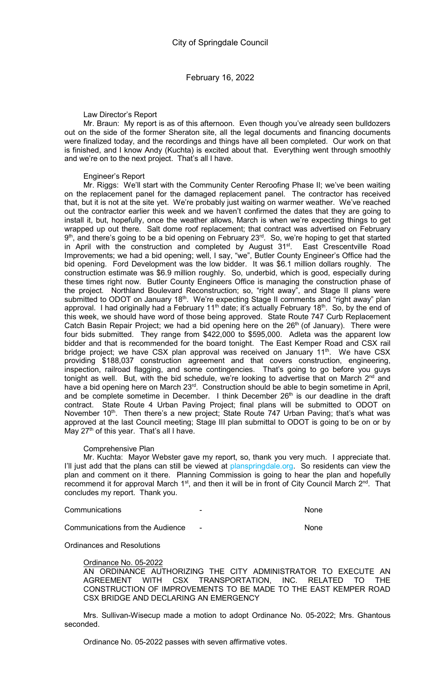### Law Director's Report

Mr. Braun: My report is as of this afternoon. Even though you've already seen bulldozers out on the side of the former Sheraton site, all the legal documents and financing documents were finalized today, and the recordings and things have all been completed. Our work on that is finished, and I know Andy (Kuchta) is excited about that. Everything went through smoothly and we're on to the next project. That's all I have.

### Engineer's Report

Mr. Riggs: We'll start with the Community Center Reroofing Phase II; we've been waiting on the replacement panel for the damaged replacement panel. The contractor has received that, but it is not at the site yet. We're probably just waiting on warmer weather. We've reached out the contractor earlier this week and we haven't confirmed the dates that they are going to install it, but, hopefully, once the weather allows, March is when we're expecting things to get wrapped up out there. Salt dome roof replacement; that contract was advertised on February 9<sup>th</sup>, and there's going to be a bid opening on February 23<sup>rd</sup>. So, we're hoping to get that started in April with the construction and completed by August 31<sup>st</sup>. East Crescentville Road Improvements; we had a bid opening; well, I say, "we", Butler County Engineer's Office had the bid opening. Ford Development was the low bidder. It was \$6.1 million dollars roughly. The construction estimate was \$6.9 million roughly. So, underbid, which is good, especially during these times right now. Butler County Engineers Office is managing the construction phase of the project. Northland Boulevard Reconstruction; so, "right away", and Stage II plans were submitted to ODOT on January 18<sup>th</sup>. We're expecting Stage II comments and "right away" plan approval. I had originally had a February 11<sup>th</sup> date; it's actually February 18<sup>th</sup>. So, by the end of this week, we should have word of those being approved. State Route 747 Curb Replacement Catch Basin Repair Project; we had a bid opening here on the 26<sup>th</sup> (of January). There were four bids submitted. They range from \$422,000 to \$595,000. Adleta was the apparent low bidder and that is recommended for the board tonight. The East Kemper Road and CSX rail bridge project; we have CSX plan approval was received on January  $11<sup>th</sup>$ . We have CSX providing \$188,037 construction agreement and that covers construction, engineering, inspection, railroad flagging, and some contingencies. That's going to go before you guys tonight as well. But, with the bid schedule, we're looking to advertise that on March  $2^{nd}$  and have a bid opening here on March 23<sup>rd</sup>. Construction should be able to begin sometime in April, and be complete sometime in December. I think December  $26<sup>th</sup>$  is our deadline in the draft contract. State Route 4 Urban Paving Project; final plans will be submitted to ODOT on November 10<sup>th</sup>. Then there's a new project; State Route 747 Urban Paving; that's what was approved at the last Council meeting; Stage III plan submittal to ODOT is going to be on or by May  $27<sup>th</sup>$  of this year. That's all I have.

### Comprehensive Plan

Mr. Kuchta: Mayor Webster gave my report, so, thank you very much. I appreciate that. I'll just add that the plans can still be viewed at planspringdale.org. So residents can view the plan and comment on it there. Planning Commission is going to hear the plan and hopefully recommend it for approval March 1<sup>st</sup>, and then it will be in front of City Council March 2<sup>nd</sup>. That concludes my report. Thank you.

| Communications                   | - | None |
|----------------------------------|---|------|
| Communications from the Audience |   | None |

Ordinances and Resolutions

Ordinance No. 05-2022

AN ORDINANCE AUTHORIZING THE CITY ADMINISTRATOR TO EXECUTE AN AGREEMENT WITH CSX TRANSPORTATION, INC. RELATED TO THE CONSTRUCTION OF IMPROVEMENTS TO BE MADE TO THE EAST KEMPER ROAD CSX BRIDGE AND DECLARING AN EMERGENCY

Mrs. Sullivan-Wisecup made a motion to adopt Ordinance No. 05-2022; Mrs. Ghantous seconded.

Ordinance No. 05-2022 passes with seven affirmative votes.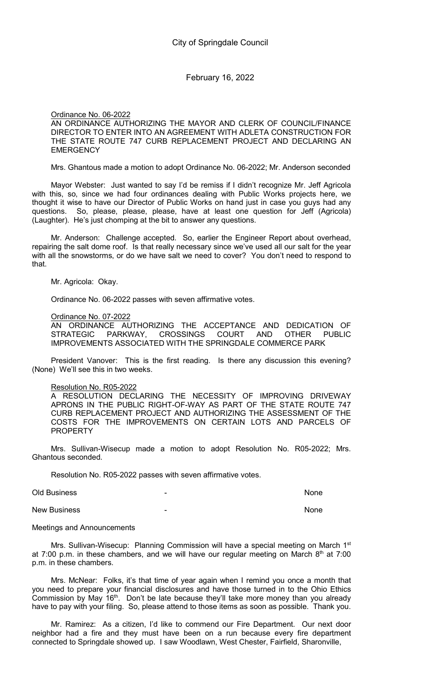Ordinance No. 06-2022

AN ORDINANCE AUTHORIZING THE MAYOR AND CLERK OF COUNCIL/FINANCE DIRECTOR TO ENTER INTO AN AGREEMENT WITH ADLETA CONSTRUCTION FOR THE STATE ROUTE 747 CURB REPLACEMENT PROJECT AND DECLARING AN **EMERGENCY** 

Mrs. Ghantous made a motion to adopt Ordinance No. 06-2022; Mr. Anderson seconded

Mayor Webster: Just wanted to say I'd be remiss if I didn't recognize Mr. Jeff Agricola with this, so, since we had four ordinances dealing with Public Works projects here, we thought it wise to have our Director of Public Works on hand just in case you guys had any questions. So, please, please, please, have at least one question for Jeff (Agricola) (Laughter). He's just chomping at the bit to answer any questions.

Mr. Anderson: Challenge accepted. So, earlier the Engineer Report about overhead, repairing the salt dome roof. Is that really necessary since we've used all our salt for the year with all the snowstorms, or do we have salt we need to cover? You don't need to respond to that.

Mr. Agricola: Okay.

Ordinance No. 06-2022 passes with seven affirmative votes.

#### Ordinance No. 07-2022

AN ORDINANCE AUTHORIZING THE ACCEPTANCE AND DEDICATION OF STRATEGIC PARKWAY, CROSSINGS COURT AND OTHER PUBLIC IMPROVEMENTS ASSOCIATED WITH THE SPRINGDALE COMMERCE PARK

President Vanover: This is the first reading. Is there any discussion this evening? (None) We'll see this in two weeks.

### Resolution No. R05-2022

A RESOLUTION DECLARING THE NECESSITY OF IMPROVING DRIVEWAY APRONS IN THE PUBLIC RIGHT-OF-WAY AS PART OF THE STATE ROUTE 747 CURB REPLACEMENT PROJECT AND AUTHORIZING THE ASSESSMENT OF THE COSTS FOR THE IMPROVEMENTS ON CERTAIN LOTS AND PARCELS OF PROPERTY

Mrs. Sullivan-Wisecup made a motion to adopt Resolution No. R05-2022; Mrs. Ghantous seconded.

Resolution No. R05-2022 passes with seven affirmative votes.

Old Business and the contract of the contract of the contract of the contract of the contract of the contract of the contract of the contract of the contract of the contract of the contract of the contract of the contract

New Business and the contract of the contract of the contract of the contract of the contract of the contract of the contract of the contract of the contract of the contract of the contract of the contract of the contract

### Meetings and Announcements

Mrs. Sullivan-Wisecup: Planning Commission will have a special meeting on March 1<sup>st</sup> at 7:00 p.m. in these chambers, and we will have our regular meeting on March  $8<sup>th</sup>$  at 7:00 p.m. in these chambers.

Mrs. McNear: Folks, it's that time of year again when I remind you once a month that you need to prepare your financial disclosures and have those turned in to the Ohio Ethics Commission by May  $16<sup>th</sup>$ . Don't be late because they'll take more money than you already have to pay with your filing. So, please attend to those items as soon as possible. Thank you.

Mr. Ramirez: As a citizen, I'd like to commend our Fire Department. Our next door neighbor had a fire and they must have been on a run because every fire department connected to Springdale showed up. I saw Woodlawn, West Chester, Fairfield, Sharonville,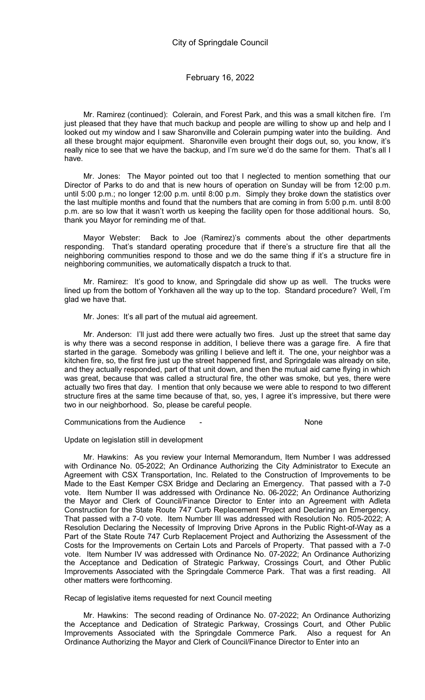Mr. Ramirez (continued): Colerain, and Forest Park, and this was a small kitchen fire. I'm just pleased that they have that much backup and people are willing to show up and help and I looked out my window and I saw Sharonville and Colerain pumping water into the building. And all these brought major equipment. Sharonville even brought their dogs out, so, you know, it's really nice to see that we have the backup, and I'm sure we'd do the same for them. That's all I have.

Mr. Jones: The Mayor pointed out too that I neglected to mention something that our Director of Parks to do and that is new hours of operation on Sunday will be from 12:00 p.m. until 5:00 p.m.; no longer 12:00 p.m. until 8:00 p.m. Simply they broke down the statistics over the last multiple months and found that the numbers that are coming in from 5:00 p.m. until 8:00 p.m. are so low that it wasn't worth us keeping the facility open for those additional hours. So, thank you Mayor for reminding me of that.

Mayor Webster: Back to Joe (Ramirez)'s comments about the other departments responding. That's standard operating procedure that if there's a structure fire that all the neighboring communities respond to those and we do the same thing if it's a structure fire in neighboring communities, we automatically dispatch a truck to that.

Mr. Ramirez: It's good to know, and Springdale did show up as well. The trucks were lined up from the bottom of Yorkhaven all the way up to the top. Standard procedure? Well, I'm glad we have that.

Mr. Jones: It's all part of the mutual aid agreement.

Mr. Anderson: I'll just add there were actually two fires. Just up the street that same day is why there was a second response in addition, I believe there was a garage fire. A fire that started in the garage. Somebody was grilling I believe and left it. The one, your neighbor was a kitchen fire, so, the first fire just up the street happened first, and Springdale was already on site, and they actually responded, part of that unit down, and then the mutual aid came flying in which was great, because that was called a structural fire, the other was smoke, but yes, there were actually two fires that day. I mention that only because we were able to respond to two different structure fires at the same time because of that, so, yes, I agree it's impressive, but there were two in our neighborhood. So, please be careful people.

Communications from the Audience - None

### Update on legislation still in development

Mr. Hawkins: As you review your Internal Memorandum, Item Number I was addressed with Ordinance No. 05-2022; An Ordinance Authorizing the City Administrator to Execute an Agreement with CSX Transportation, Inc. Related to the Construction of Improvements to be Made to the East Kemper CSX Bridge and Declaring an Emergency. That passed with a 7-0 vote. Item Number II was addressed with Ordinance No. 06-2022; An Ordinance Authorizing the Mayor and Clerk of Council/Finance Director to Enter into an Agreement with Adleta Construction for the State Route 747 Curb Replacement Project and Declaring an Emergency. That passed with a 7-0 vote. Item Number III was addressed with Resolution No. R05-2022; A Resolution Declaring the Necessity of Improving Drive Aprons in the Public Right-of-Way as a Part of the State Route 747 Curb Replacement Project and Authorizing the Assessment of the Costs for the Improvements on Certain Lots and Parcels of Property. That passed with a 7-0 vote. Item Number IV was addressed with Ordinance No. 07-2022; An Ordinance Authorizing the Acceptance and Dedication of Strategic Parkway, Crossings Court, and Other Public Improvements Associated with the Springdale Commerce Park. That was a first reading. All other matters were forthcoming.

Recap of legislative items requested for next Council meeting

Mr. Hawkins: The second reading of Ordinance No. 07-2022; An Ordinance Authorizing the Acceptance and Dedication of Strategic Parkway, Crossings Court, and Other Public Improvements Associated with the Springdale Commerce Park. Also a request for An Ordinance Authorizing the Mayor and Clerk of Council/Finance Director to Enter into an